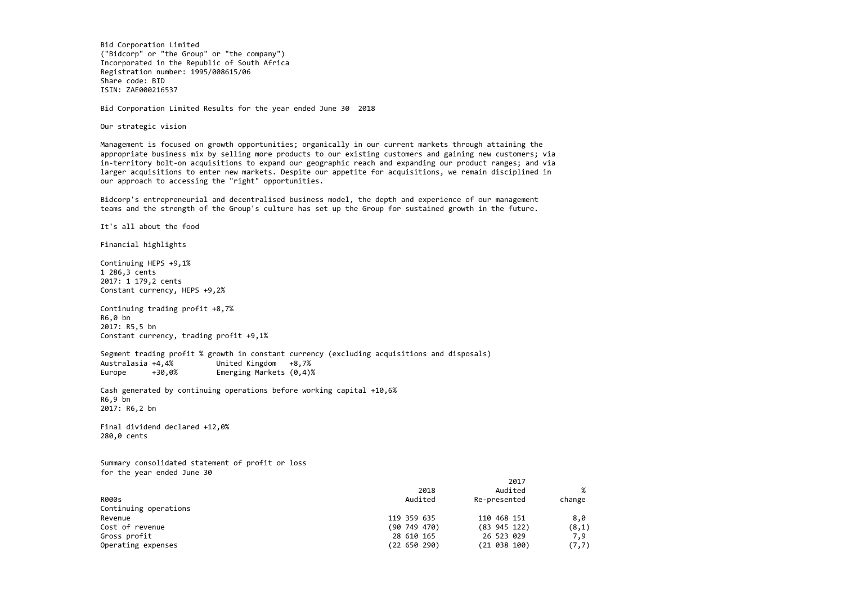Bid Corporation Limited ("Bidcorp" or "the Group" or "the company") Incorporated in the Republic of South Africa Registration number: 1995/008615/06 Share code: BID ISIN: ZAE000216537

Bid Corporation Limited Results for the year ended June 30 2018

Our strategic vision

Management is focused on growth opportunities; organically in our current markets through attaining the appropriate business mix by selling more products to our existing customers and gaining new customers; via in-territory bolt-on acquisitions to expand our geographic reach and expanding our product ranges; and via larger acquisitions to enter new markets. Despite our appetite for acquisitions, we remain disciplined in our approach to accessing the "right" opportunities.

Segment trading profit % growth in constant currency (excluding acquisitions and disposals) AustralasiaUnited Kingdom +8,7% Europe +30,0% Emerging Markets  $(0,4)$ %

Bidcorp's entrepreneurial and decentralised business model, the depth and experience of our management teams and the strength of the Group's culture has set up the Group for sustained growth in the future.

It's all about the food

Financial highlights

Continuing HEPS +9,1% 1 286,3 cents 2017: 1 179,2 cents Constant currency, HEPS +9,2%

Continuing trading profit +8,7% R6,0 bn 2017: R5,5 bn Constant currency, trading profit +9,1%

Cash generated by continuing operations before working capital +10,6% R6,9 bn 2017: R6,2 bn

Final dividend declared +12,0% 280,0 cents

Summary consolidated statement of profit or loss for the year ended June 30

|                       |              | 2017         |        |
|-----------------------|--------------|--------------|--------|
|                       | 2018         | Audited      | %      |
| <b>R000s</b>          | Audited      | Re-presented | change |
| Continuing operations |              |              |        |
| Revenue               | 119 359 635  | 110 468 151  | 8,0    |
| Cost of revenue       | (90 749 470) | (83 945 122) | (8,1)  |
| Gross profit          | 28 610 165   | 26 523 029   | 7,9    |
| Operating expenses    | (22 650 290) | (21 038 100) | (7, 7) |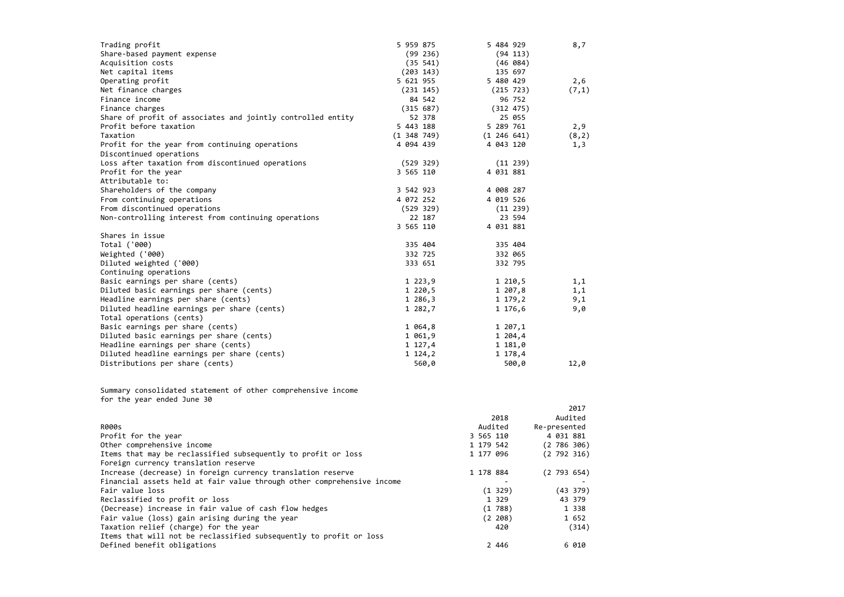| Trading profit                                                                             | 5 959 875       | 5 484 929       | 8,7          |
|--------------------------------------------------------------------------------------------|-----------------|-----------------|--------------|
| Share-based payment expense                                                                | (99 236)        | (94 113)        |              |
| Acquisition costs                                                                          | (35 541)        | (46 084)        |              |
| Net capital items                                                                          | (203 143)       | 135 697         |              |
| Operating profit                                                                           | 5 621 955       | 5 480 429       | 2,6          |
| Net finance charges                                                                        | (231 145)       | (215 723)       | (7,1)        |
| Finance income                                                                             | 84 542          | 96 752          |              |
| Finance charges                                                                            | (315 687)       | (312 475)       |              |
| Share of profit of associates and jointly controlled entity                                | 52 378          | 25 055          |              |
| Profit before taxation                                                                     | 5 443 188       | 5 289 761       | 2,9          |
| Taxation                                                                                   | $(1\;348\;749)$ | $(1\;246\;641)$ | (8, 2)       |
| Profit for the year from continuing operations                                             | 4 094 439       | 4 043 120       | 1,3          |
| Discontinued operations                                                                    |                 |                 |              |
| Loss after taxation from discontinued operations                                           | (529 329)       | (11 239)        |              |
| Profit for the year                                                                        | 3 565 110       | 4 031 881       |              |
| Attributable to:                                                                           |                 |                 |              |
| Shareholders of the company                                                                | 3 542 923       | 4 008 287       |              |
| From continuing operations                                                                 | 4 072 252       | 4 019 526       |              |
| From discontinued operations                                                               | (529 329)       | (11 239)        |              |
| Non-controlling interest from continuing operations                                        | 22 187          | 23 594          |              |
|                                                                                            | 3 565 110       | 4 031 881       |              |
| Shares in issue                                                                            |                 |                 |              |
| Total ('000)                                                                               | 335 404         | 335 404         |              |
| Weighted ('000)                                                                            | 332 725         | 332 065         |              |
| Diluted weighted ('000)                                                                    | 333 651         | 332 795         |              |
| Continuing operations                                                                      |                 |                 |              |
| Basic earnings per share (cents)                                                           | 1223,9          | 1 210,5         | 1,1          |
| Diluted basic earnings per share (cents)                                                   | $1\,220,5$      | 1 207,8         | 1,1          |
| Headline earnings per share (cents)                                                        | 1 286,3         | 1 179,2         | 9,1          |
| Diluted headline earnings per share (cents)                                                | 1 282,7         | 1 176,6         | 9,0          |
| Total operations (cents)                                                                   |                 |                 |              |
| Basic earnings per share (cents)                                                           | 1 064,8         | 1 207,1         |              |
| Diluted basic earnings per share (cents)                                                   | 1 061,9         | 1 204,4         |              |
| Headline earnings per share (cents)                                                        | 1 127,4         | 1 181,0         |              |
| Diluted headline earnings per share (cents)                                                | 1, 124, 2       | 1 178,4         |              |
| Distributions per share (cents)                                                            | 560,0           | 500,0           | 12,0         |
| Summary consolidated statement of other comprehensive income<br>for the year ended June 30 |                 |                 |              |
|                                                                                            |                 |                 | 2017         |
|                                                                                            |                 | 2018            | Audited      |
| <b>R000s</b>                                                                               |                 | Audited         | Re-presented |

| <b>R000s</b>                                                           |           | Audited | Re-presented |           |  |
|------------------------------------------------------------------------|-----------|---------|--------------|-----------|--|
| Profit for the year                                                    | 3 565 110 |         |              | 4 031 881 |  |
| Other comprehensive income                                             | 1 179 542 |         |              | (2786306) |  |
| Items that may be reclassified subsequently to profit or loss          | 1 177 096 |         |              | (2792316) |  |
| Foreign currency translation reserve                                   |           |         |              |           |  |
| Increase (decrease) in foreign currency translation reserve            | 1 178 884 |         |              | (2793654) |  |
| Financial assets held at fair value through other comprehensive income |           |         |              |           |  |
| Fair value loss                                                        |           | (1 329) |              | (43 379)  |  |
| Reclassified to profit or loss                                         |           | 1 329   |              | 43 379    |  |
| (Decrease) increase in fair value of cash flow hedges                  |           | (1788)  |              | 1 3 3 8   |  |
| Fair value (loss) gain arising during the year                         |           | (2 208) |              | 1 652     |  |
| Taxation relief (charge) for the year                                  |           | 420     |              | (314)     |  |
| Items that will not be reclassified subsequently to profit or loss     |           |         |              |           |  |
| Defined benefit obligations                                            |           | 2 4 4 6 |              | 6 010     |  |
|                                                                        |           |         |              |           |  |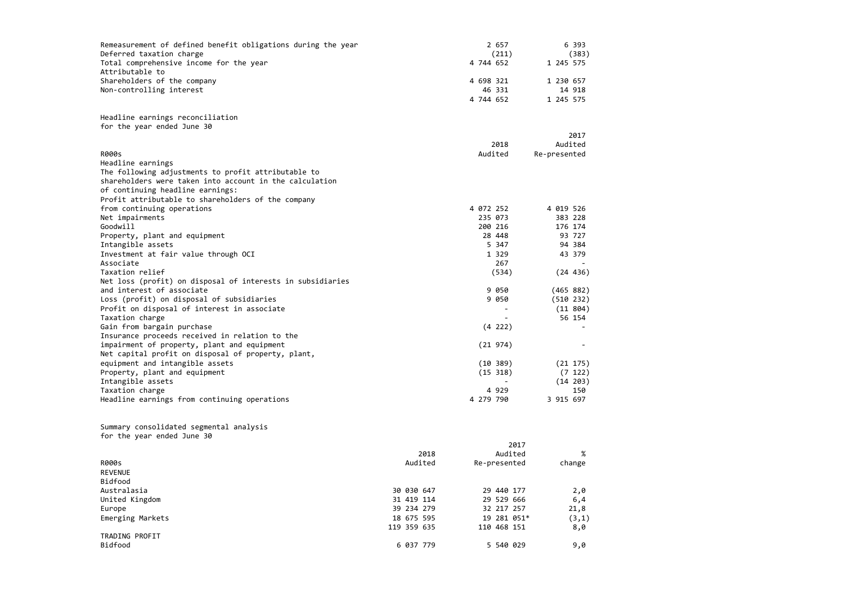| Remeasurement of defined benefit obligations during the year |             | 2 657        | 6 393        |
|--------------------------------------------------------------|-------------|--------------|--------------|
| Deferred taxation charge                                     |             | (211)        | (383)        |
| Total comprehensive income for the year                      |             | 4 744 652    | 1 245 575    |
| Attributable to                                              |             |              |              |
| Shareholders of the company                                  |             | 4 698 321    | 1 230 657    |
| Non-controlling interest                                     |             | 46 331       | 14 918       |
|                                                              |             | 4 744 652    | 1 245 575    |
| Headline earnings reconciliation                             |             |              |              |
| for the year ended June 30                                   |             |              |              |
|                                                              |             |              | 2017         |
|                                                              |             | 2018         | Audited      |
| <b>R000s</b>                                                 |             | Audited      | Re-presented |
| Headline earnings                                            |             |              |              |
| The following adjustments to profit attributable to          |             |              |              |
| shareholders were taken into account in the calculation      |             |              |              |
| of continuing headline earnings:                             |             |              |              |
| Profit attributable to shareholders of the company           |             |              |              |
| from continuing operations                                   |             | 4 072 252    | 4 019 526    |
| Net impairments                                              |             | 235 073      | 383 228      |
| Goodwill                                                     |             | 200 216      | 176 174      |
| Property, plant and equipment                                |             | 28 448       | 93 727       |
| Intangible assets                                            |             | 5 347        | 94 384       |
| Investment at fair value through OCI                         |             | 1 3 2 9      | 43 379       |
| Associate                                                    |             | 267          |              |
| Taxation relief                                              |             | (534)        | (24 436)     |
| Net loss (profit) on disposal of interests in subsidiaries   |             |              |              |
| and interest of associate                                    |             | 9 0 5 0      | (465 882)    |
| Loss (profit) on disposal of subsidiaries                    |             | 9 0 5 0      | (510 232)    |
| Profit on disposal of interest in associate                  |             |              | (11 804)     |
| Taxation charge                                              |             |              | 56 154       |
| Gain from bargain purchase                                   |             | (4 222)      |              |
| Insurance proceeds received in relation to the               |             |              |              |
| impairment of property, plant and equipment                  |             | (21974)      |              |
| Net capital profit on disposal of property, plant,           |             |              |              |
| equipment and intangible assets                              |             | (10, 389)    | (21 175)     |
| Property, plant and equipment                                |             | (15 318)     | (7 122)      |
| Intangible assets                                            |             |              | (14 203)     |
| Taxation charge                                              |             | 4 9 2 9      | 150          |
| Headline earnings from continuing operations                 |             | 4 279 790    | 3 915 697    |
|                                                              |             |              |              |
| Summary consolidated segmental analysis                      |             |              |              |
| for the year ended June 30                                   |             | 2017         |              |
|                                                              | 2018        | Audited      | %            |
| <b>R000s</b>                                                 | Audited     |              |              |
| <b>REVENUE</b>                                               |             | Re-presented | change       |
| Bidfood                                                      |             |              |              |
| Australasia                                                  | 30 030 647  | 29 440 177   | 2,0          |
| United Kingdom                                               | 31 419 114  | 29 529 666   | 6,4          |
| Europe                                                       | 39 234 279  | 32 217 257   | 21,8         |
| Emerging Markets                                             | 18 675 595  | 19 281 051*  | (3,1)        |
|                                                              | 119 359 635 | 110 468 151  | 8,0          |
| TRADING PROFIT                                               |             |              |              |
| Bidfood                                                      | 6 037 779   | 5 540 029    | 9,0          |
|                                                              |             |              |              |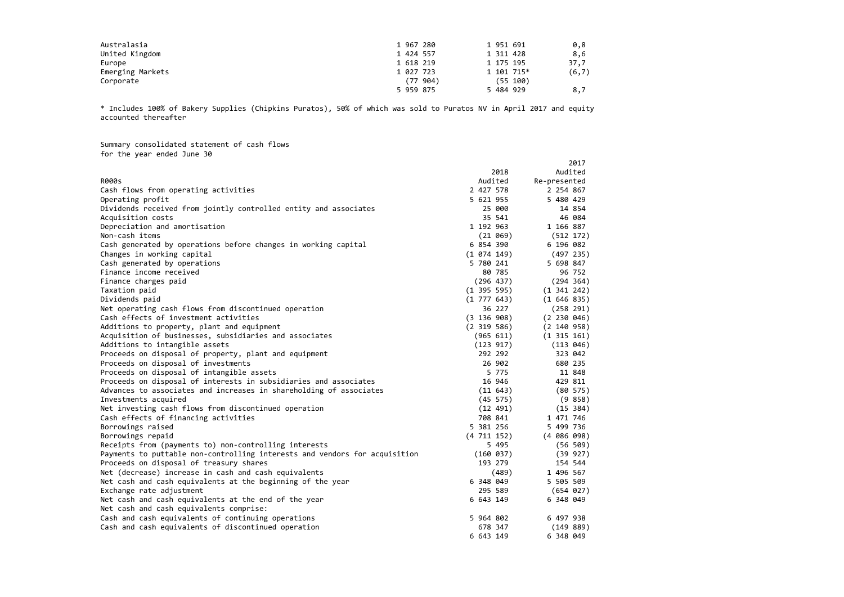| Australasia      | 1 967 280 | 1 951 691  | 0,8    |
|------------------|-----------|------------|--------|
| United Kingdom   | 1 424 557 | 1 311 428  | 8,6    |
| Europe           | 1 618 219 | 1 175 195  | 37,7   |
| Emerging Markets | 1 027 723 | 1 101 715* | (6, 7) |
| Corporate        | (77994)   | (55 100)   |        |
|                  | 5 959 875 | 5 484 929  | 8,7    |

\* Includes 100% of Bakery Supplies (Chipkins Puratos), 50% of which was sold to Puratos NV in April 2017 and equity accounted thereafter

Summary consolidated statement of cash flows for the year ended June 30

2017

|                                                                            | 2018            | Audited         |
|----------------------------------------------------------------------------|-----------------|-----------------|
| <b>R000s</b>                                                               | Audited         | Re-presented    |
| Cash flows from operating activities                                       | 2 427 578       | 2 254 867       |
| Operating profit                                                           | 5 621 955       | 5 480 429       |
| Dividends received from jointly controlled entity and associates           | 25 000          | 14 854          |
| Acquisition costs                                                          | 35 541          | 46 084          |
| Depreciation and amortisation                                              | 1 192 963       | 1 166 887       |
| Non-cash items                                                             | (21 069)        | (512 172)       |
| Cash generated by operations before changes in working capital             | 6 854 390       | 6 196 082       |
| Changes in working capital                                                 | (1 074 149)     | (497 235)       |
| Cash generated by operations                                               | 5 780 241       | 5 698 847       |
| Finance income received                                                    | 80 785          | 96 752          |
| Finance charges paid                                                       | (296 437)       | (294 364)       |
| Taxation paid                                                              | $(1\;395\;595)$ | $(1\;341\;242)$ |
| Dividends paid                                                             | $(1\ 777\ 643)$ | (1646835)       |
| Net operating cash flows from discontinued operation                       | 36 227          | (258 291)       |
| Cash effects of investment activities                                      | (3 136 908)     | (2 230 046)     |
| Additions to property, plant and equipment                                 | $(2\;319\;586)$ | (2 140 958)     |
| Acquisition of businesses, subsidiaries and associates                     | (965 611)       | $(1\;315\;161)$ |
| Additions to intangible assets                                             | (123 917)       | (113 046)       |
| Proceeds on disposal of property, plant and equipment                      | 292 292         | 323 042         |
| Proceeds on disposal of investments                                        | 26 902          | 680 235         |
| Proceeds on disposal of intangible assets                                  | 5 775           | 11 848          |
| Proceeds on disposal of interests in subsidiaries and associates           | 16 946          | 429 811         |
| Advances to associates and increases in shareholding of associates         | (11643)         | $(80\;575)$     |
| Investments acquired                                                       | (45 575)        | (9 858)         |
| Net investing cash flows from discontinued operation                       | (12 491)        | (15 384)        |
| Cash effects of financing activities                                       | 708 841         | 1 471 746       |
| Borrowings raised                                                          | 5 381 256       | 5 499 736       |
| Borrowings repaid                                                          | (4711152)       | $(4\ 086\ 098)$ |
| Receipts from (payments to) non-controlling interests                      | 5 4 9 5         | (56 509)        |
| Payments to puttable non-controlling interests and vendors for acquisition | (160 037)       | (39 927)        |
| Proceeds on disposal of treasury shares                                    | 193 279         | 154 544         |
| Net (decrease) increase in cash and cash equivalents                       | (489)           | 1 496 567       |
| Net cash and cash equivalents at the beginning of the year                 | 6 348 049       | 5 505 509       |
| Exchange rate adjustment                                                   | 295 589         | (654 027)       |
| Net cash and cash equivalents at the end of the year                       | 6 643 149       | 6 348 049       |
| Net cash and cash equivalents comprise:                                    |                 |                 |
| Cash and cash equivalents of continuing operations                         | 5 964 802       | 6 497 938       |
| Cash and cash equivalents of discontinued operation                        | 678 347         | (149 889)       |
|                                                                            | 6 643 149       | 6 348 049       |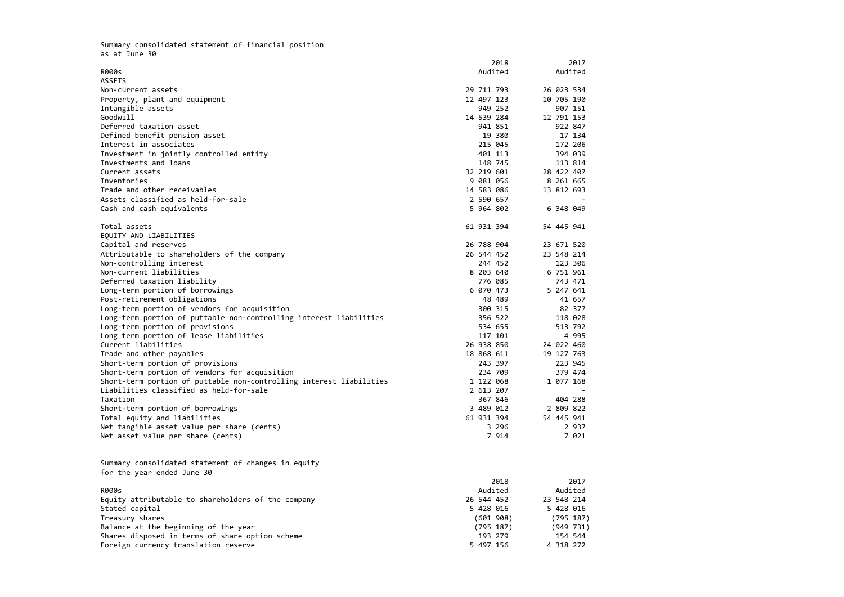Summary consolidated statement of financial position as at June 30 2018 2017 R000ss and a statement of the control of the control of the control of the control of the control of the control of the control of the control of the control of the control of the control of the control of the control of the co ASSETS Non-current assets assets 29 711 793 26 023 534 Property, plant and equipment 200 and 200 and 200 and 200 and 200 and 200 and 200 and 200 and 200 and 200 and 200 and 200 and 200 and 200 and 200 and 200 and 200 and 200 and 200 and 200 and 200 and 200 and 200 and 200 and Intangible assets 949 252 907 151 Goodwill 14 539 284 12 791 153 Deferred taxation asset 941 851 922 847 Defined benefit pension asset 19 380 17 134 Interest in associates 215 045 172 206 Investment in jointly controlled entity 401 113 394 039 Investments and loans 148 745 113 814 Current assets assets 32 219 601 28 422 407 Inventories 9 081 056 8 261 665 Trade and other receivables 14 583 086 13 812 693 Assets classified as held‐for‐sale 2 590 657 ‐ Cash and cash equivalents 5 964 802 6 348 049 Total assets 61 931 394 54 445 941 EQUITY AND LIABILITIES Capital and reserves 26 788 904 23 671 520 Attributable to shareholders of the company 26 544 452 23 548 214 Non‐controlling interest 244 452 123 306 Non‐current liabilities 8 203 640 6 751 961 Deferred taxation liability 776 085 743 471 Long-term portion of borrowings 6 070 473 5 247 641 Post‐retirement obligations 48 489 41 657 Long-term portion of vendors for acquisition 300 315 82 377 Long-term portion of puttable non-controlling interest liabilities 356 522 118 028 Long-term portion of provisions 513 792 Long term portion of lease liabilities<br>Current liabilities 117 101 124 022 460 Current liabilities 26 938 850 24 022 460 Trade and other payables 18 868 611 19 127 763 Short‐term portion of provisions 243 397 223 945 Short‐term portion of vendors for acquisition 234 709 379 474 Short‐term portion of puttable non‐controlling interest liabilities 1 122 068 1 077 168 Liabilities classified as held‐for‐sale 2 613 207 ‐ Taxation 367 846 404 288 Short‐term portion of borrowings 3 489 012 2 809 822 Total equity and liabilities 61 931 394 54 445 941 Net tangible asset value per share (cents) 3 296 2 937 Net asset value per share (cents) <sup>7</sup> <sup>914</sup> <sup>7</sup> 021 Summary consolidated statement of changes in equity for the year ended June 30 2018 2017 R000ss and a statement of the control of the control of the control of the control of the control of the control of the control of the control of the control of the control of the control of the control of the control of the co

| wuu J                                              | nuu±ttu    | nuu±ttu    |
|----------------------------------------------------|------------|------------|
| Equity attributable to shareholders of the company | 26 544 452 | 23 548 214 |
| Stated capital                                     | 5 428 016  | 5 428 016  |
| Treasury shares                                    | (601908)   | (795 187)  |
| Balance at the beginning of the year               | (795 187)  | (949 731)  |
| Shares disposed in terms of share option scheme    | 193 279    | 154 544    |
| Foreign currency translation reserve               | 5 497 156  | 4 318 272  |
|                                                    |            |            |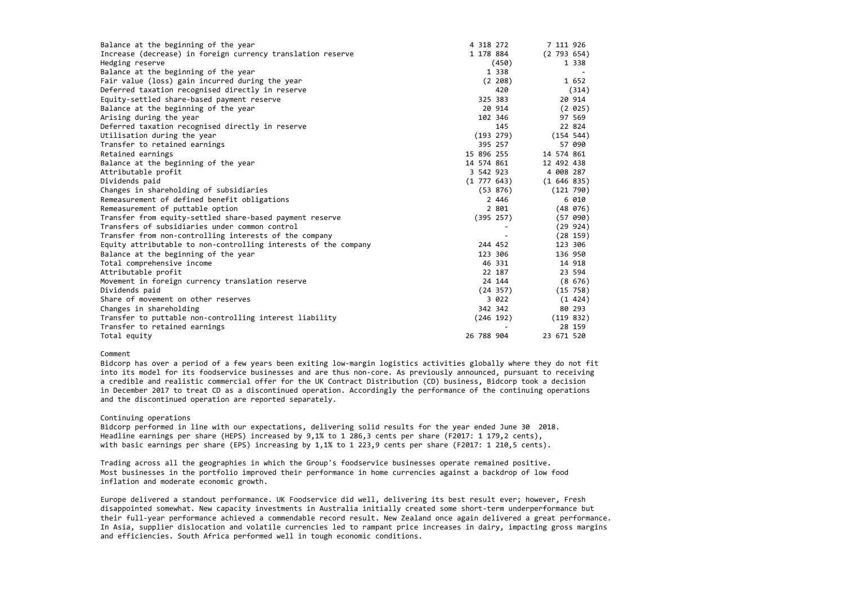| Balance at the beginning of the year                            | 4 318 272       |                          | 7 111 926  |           |
|-----------------------------------------------------------------|-----------------|--------------------------|------------|-----------|
| Increase (decrease) in foreign currency translation reserve     | 1 178 884       |                          | (2793654)  |           |
| Hedging reserve                                                 |                 | (450)                    |            | 1 3 3 8   |
| Balance at the beginning of the year                            |                 | 1 3 3 8                  |            |           |
| Fair value (loss) gain incurred during the year                 |                 | (2 208)                  |            | 1 652     |
| Deferred taxation recognised directly in reserve                |                 | 420                      |            | (314)     |
| Equity-settled share-based payment reserve                      |                 | 325 383                  |            | 20 914    |
| Balance at the beginning of the year                            |                 | 20 914                   |            | (2 025)   |
| Arising during the year                                         |                 | 102 346                  |            | 97 569    |
| Deferred taxation recognised directly in reserve                |                 | 145                      |            | 22 824    |
| Utilisation during the year                                     |                 | (193 279)                | (154 544)  |           |
| Transfer to retained earnings                                   |                 | 395 257                  |            | 57 090    |
| Retained earnings                                               | 15 896 255      |                          | 14 574 861 |           |
| Balance at the beginning of the year                            | 14 574 861      |                          | 12 492 438 |           |
| Attributable profit                                             | 3 542 923       |                          | 4 008 287  |           |
| Dividends paid                                                  | $(1\ 777\ 643)$ |                          | (1646835)  |           |
| Changes in shareholding of subsidiaries                         |                 | (53 876)                 | (121 790)  |           |
| Remeasurement of defined benefit obligations                    |                 | 2 446                    |            | 6 010     |
| Remeasurement of puttable option                                |                 | 2 801                    |            | (48, 076) |
| Transfer from equity-settled share-based payment reserve        |                 | (395 257)                |            | (57 090)  |
| Transfers of subsidiaries under common control                  |                 | $\overline{\phantom{a}}$ |            | (29924)   |
| Transfer from non-controlling interests of the company          |                 |                          |            | (28159)   |
| Equity attributable to non-controlling interests of the company |                 | 244 452                  | 123 306    |           |
| Balance at the beginning of the year                            |                 | 123 306                  | 136 950    |           |
| Total comprehensive income                                      |                 | 46 331                   |            | 14 918    |
| Attributable profit                                             |                 | 22 187                   |            | 23 594    |
| Movement in foreign currency translation reserve                |                 | 24 144                   |            | (8, 676)  |
| Dividends paid                                                  |                 | (24 357)                 |            | (15 758)  |
| Share of movement on other reserves                             |                 | 3 022                    |            | (1 424)   |
| Changes in shareholding                                         |                 | 342 342                  |            | 80 293    |
| Transfer to puttable non-controlling interest liability         |                 | (246 192)                | (119 832)  |           |
| Transfer to retained earnings                                   |                 |                          |            | 28 159    |
| Total equity                                                    | 26 788 904      |                          | 23 671 520 |           |

Bidcorp has over a period of a few years been exiting low-margin logistics activities globally where they do not fit into its model for its foodservice businesses and are thus non‐core. As previously announced, pursuant to receiving a credible and realistic commercial offer for the UK Contract Distribution (CD) business, Bidcorp took <sup>a</sup> decision in December 2017 to treat CD as <sup>a</sup> discontinued operation. Accordingly the performance of the continuing operations and the discontinued operation are reported separately.

# Comment

# Continuing operations

Bidcorp performed in line with our expectations, delivering solid results for the year ended June 30 2018. Headline earnings per share (HEPS) increased by 9,1% to <sup>1</sup> 286,3 cents per share (F2017: <sup>1</sup> 179,2 cents), with basic earnings per share (EPS) increasing by 1,1% to <sup>1</sup> 223,9 cents per share (F2017: <sup>1</sup> 210,5 cents).

Trading across all the geographies in which the Group's foodservice businesses operate remained positive. Most businesses in the portfolio improved their performance in home currencies against <sup>a</sup> backdrop of low food inflation and moderate economic growth.

Europe delivered <sup>a</sup> standout performance. UK Foodservice did well, delivering its best result ever; however, Fresh disappointed somewhat. New capacity investments in Australia initially created some short‐term underperformance but their full‐year performance achieved <sup>a</sup> commendable record result. New Zealand once again delivered <sup>a</sup> great performance. In Asia, supplier dislocation and volatile currencies led to rampant price increases in dairy, impacting gross margins and efficiencies. South Africa performed well in tough economic conditions.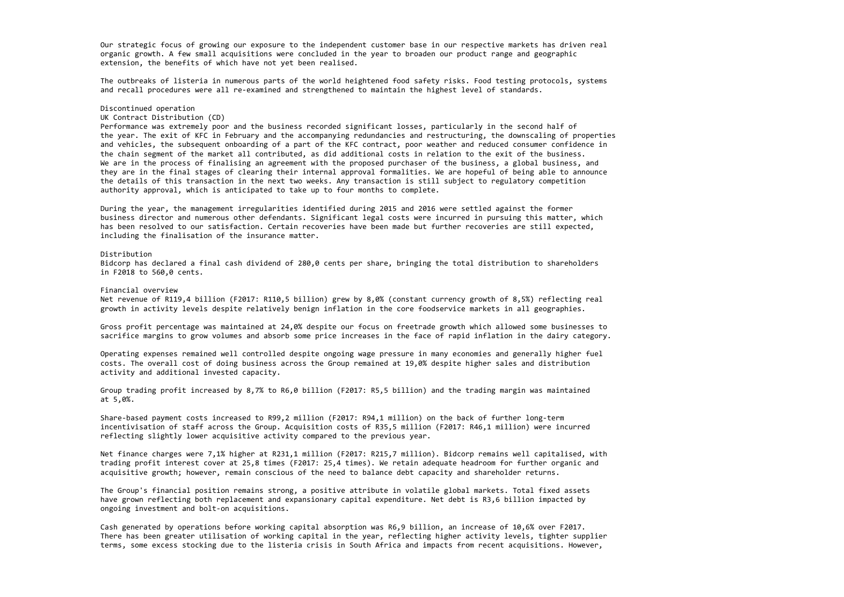Our strategic focus of growing our exposure to the independent customer base in our respective markets has driven real organic growth. A few small acquisitions were concluded in the year to broaden our product range and geographic extension, the benefits of which have not yet been realised.

The outbreaks of listeria in numerous parts of the world heightened food safety risks. Food testing protocols, systems and recall procedures were all re‐examined and strengthened to maintain the highest level of standards.

#### Discontinued operation

## UK Contract Distribution (CD)

Performance was extremely poor and the business recorded significant losses, particularly in the second half of the year. The exit of KFC in February and the accompanying redundancies and restructuring, the downscaling of properties and vehicles, the subsequent onboarding of <sup>a</sup> part of the KFC contract, poor weather and reduced consumer confidence in the chain segment of the market all contributed, as did additional costs in relation to the exit of the business. We are in the process of finalising an agreement with the proposed purchaser of the business, <sup>a</sup> global business, and they are in the final stages of clearing their internal approval formalities. We are hopeful of being able to announce the details of this transaction in the next two weeks. Any transaction is still subject to regulatory competition authority approval, which is anticipated to take up to four months to complete.

During the year, the management irregularities identified during 2015 and 2016 were settled against the former business director and numerous other defendants. Significant legal costs were incurred in pursuing this matter, which has been resolved to our satisfaction. Certain recoveries have been made but further recoveries are still expected, including the finalisation of the insurance matter.

#### Distribution

Bidcorp has declared <sup>a</sup> final cash dividend of 280,0 cents per share, bringing the total distribution to shareholders in F2018 to 560,0 cents.

#### Financial overview

Net revenue of R119,4 billion (F2017: R110,5 billion) grew by 8,0% (constant currency growth of 8,5%) reflecting real growth in activity levels despite relatively benign inflation in the core foodservice markets in all geographies.

Gross profit percentage was maintained at 24,0% despite our focus on freetrade growth which allowed some businesses to sacrifice margins to grow volumes and absorb some price increases in the face of rapid inflation in the dairy category.

Operating expenses remained well controlled despite ongoing wage pressure in many economies and generally higher fuel costs. The overall cost of doing business across the Group remained at 19,0% despite higher sales and distribution activity and additional invested capacity.

Group trading profit increased by 8,7% to R6,0 billion (F2017: R5,5 billion) and the trading margin was maintained at 5,0%.

Share‐based payment costs increased to R99,2 million (F2017: R94,1 million) on the back of further long‐term incentivisation of staff across the Group. Acquisition costs of R35,5 million (F2017: R46,1 million) were incurred reflecting slightly lower acquisitive activity compared to the previous year.

Net finance charges were 7,1% higher at R231,1 million (F2017: R215,7 million). Bidcorp remains well capitalised, with trading profit interest cover at 25,8 times (F2017: 25,4 times). We retain adequate headroom for further organic and acquisitive growth; however, remain conscious of the need to balance debt capacity and shareholder returns.

The Group's financial position remains strong, <sup>a</sup> positive attribute in volatile global markets. Total fixed assets have grown reflecting both replacement and expansionary capital expenditure. Net debt is R3,6 billion impacted by ongoing investment and bolt‐on acquisitions.

Cash generated by operations before working capital absorption was R6,9 billion, an increase of 10,6% over F2017. There has been greater utilisation of working capital in the year, reflecting higher activity levels, tighter supplier terms, some excess stocking due to the listeria crisis in South Africa and impacts from recent acquisitions. However,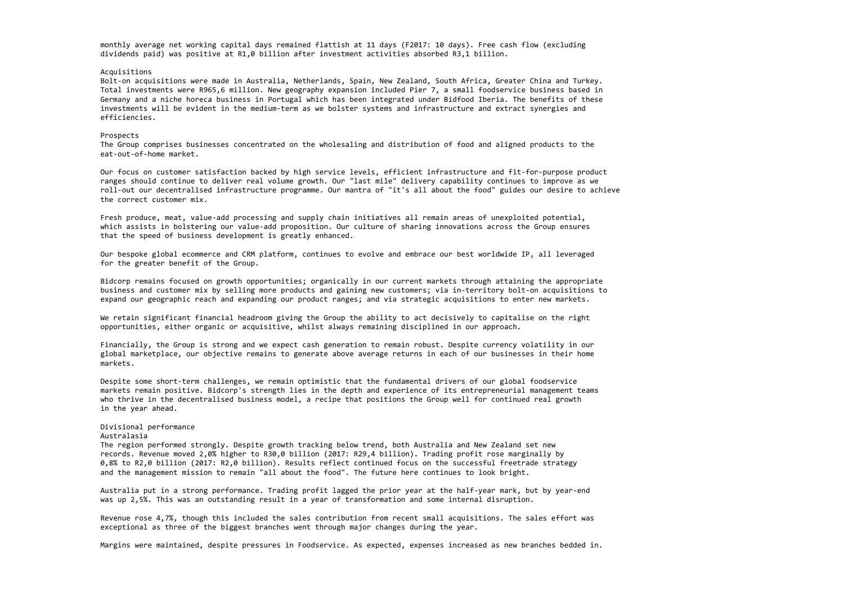monthly average net working capital days remained flattish at <sup>11</sup> days (F2017: 10 days). Free cash flow (excluding dividends paid) was positive at R1,0 billion after investment activities absorbed R3,1 billion.

# Acquisitions

Bolt‐on acquisitions were made in Australia, Netherlands, Spain, New Zealand, South Africa, Greater China and Turkey. Total investments were R965,6 million. New geography expansion included Pier 7, <sup>a</sup> small foodservice business based in Germany and <sup>a</sup> niche horeca business in Portugal which has been integrated under Bidfood Iberia. The benefits of these investments will be evident in the medium‐term as we bolster systems and infrastructure and extract synergies and efficiencies.

## Prospects

The Group comprises businesses concentrated on the wholesaling and distribution of food and aligned products to the eat‐out‐of‐home market.

Our focus on customer satisfaction backed by high service levels, efficient infrastructure and fit‐for‐purpose product ranges should continue to deliver real volume growth. Our "last mile" delivery capability continues to improve as we roll‐out our decentralised infrastructure programme. Our mantra of "it's all about the food" guides our desire to achieve the correct customer mix.

Fresh produce, meat, value‐add processing and supply chain initiatives all remain areas of unexploited potential, which assists in bolstering our value‐add proposition. Our culture of sharing innovations across the Group ensures that the speed of business development is greatly enhanced.

Despite some short-term challenges, we remain optimistic that the fundamental drivers of our global foodservice markets remain positive. Bidcorp's strength lies in the depth and experience of its entrepreneurial management teams who thrive in the decentralised business model, <sup>a</sup> recipe that positions the Group well for continued real growth in the year ahead.

Our bespoke global ecommerce and CRM platform, continues to evolve and embrace our best worldwide IP, all leveraged for the greater benefit of the Group.

Bidcorp remains focused on growth opportunities; organically in our current markets through attaining the appropriate business and customer mix by selling more products and gaining new customers; via in‐territory bolt‐on acquisitions to expand our geographic reach and expanding our product ranges; and via strategic acquisitions to enter new markets.

We retain significant financial headroom giving the Group the ability to act decisively to capitalise on the right opportunities, either organic or acquisitive, whilst always remaining disciplined in our approach.

Financially, the Group is strong and we expect cash generation to remain robust. Despite currency volatility in our global marketplace, our objective remains to generate above average returns in each of our businesses in their home markets.

# Divisional performance

# Australasia

The region performed strongly. Despite growth tracking below trend, both Australia and New Zealand set new records. Revenue moved 2,0% higher to R30,0 billion (2017: R29,4 billion). Trading profit rose marginally by 0,8% to R2,0 billion (2017: R2,0 billion). Results reflect continued focus on the successful freetrade strategy and the management mission to remain "all about the food". The future here continues to look bright.

Australia put in <sup>a</sup> strong performance. Trading profit lagged the prior year at the half‐year mark, but by year‐end was up 2,5%. This was an outstanding result in <sup>a</sup> year of transformation and some internal disruption.

Revenue rose 4,7%, though this included the sales contribution from recent small acquisitions. The sales effort was exceptional as three of the biggest branches went through major changes during the year.

Margins were maintained, despite pressures in Foodservice. As expected, expenses increased as new branches bedded in.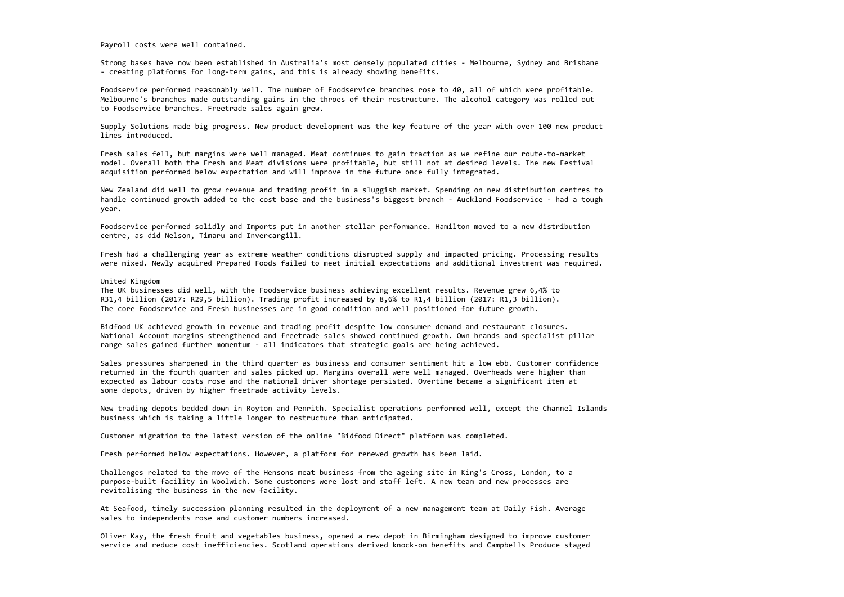Payroll costs were well contained.

Strong bases have now been established in Australia's most densely populated cities ‐ Melbourne, Sydney and Brisbane ‐ creating platforms for long‐term gains, and this is already showing benefits.

Foodservice performed reasonably well. The number of Foodservice branches rose to 40, all of which were profitable. Melbourne's branches made outstanding gains in the throes of their restructure. The alcohol category was rolled out to Foodservice branches. Freetrade sales again grew.

Supply Solutions made big progress. New product development was the key feature of the year with over 100 new product lines introduced.

Fresh sales fell, but margins were well managed. Meat continues to gain traction as we refine our route‐to‐market model. Overall both the Fresh and Meat divisions were profitable, but still not at desired levels. The new Festival acquisition performed below expectation and will improve in the future once fully integrated.

Bidfood UK achieved growth in revenue and trading profit despite low consumer demand and restaurant closures. National Account margins strengthened and freetrade sales showed continued growth. Own brands and specialist pillar range sales gained further momentum - all indicators that strategic goals are being achieved.

New Zealand did well to grow revenue and trading profit in <sup>a</sup> sluggish market. Spending on new distribution centres to handle continued growth added to the cost base and the business's biggest branch ‐ Auckland Foodservice ‐ had <sup>a</sup> tough year.

Foodservice performed solidly and Imports put in another stellar performance. Hamilton moved to <sup>a</sup> new distribution centre, as did Nelson, Timaru and Invercargill.

Fresh had <sup>a</sup> challenging year as extreme weather conditions disrupted supply and impacted pricing. Processing results were mixed. Newly acquired Prepared Foods failed to meet initial expectations and additional investment was required.

### United Kingdom

The UK businesses did well, with the Foodservice business achieving excellent results. Revenue grew 6,4% to R31,4 billion (2017: R29,5 billion). Trading profit increased by 8,6% to R1,4 billion (2017: R1,3 billion). The core Foodservice and Fresh businesses are in good condition and well positioned for future growth.

Sales pressures sharpened in the third quarter as business and consumer sentiment hit <sup>a</sup> low ebb. Customer confidence returned in the fourth quarter and sales picked up. Margins overall were well managed. Overheads were higher than expected as labour costs rose and the national driver shortage persisted. Overtime became <sup>a</sup> significant item at some depots, driven by higher freetrade activity levels.

New trading depots bedded down in Royton and Penrith. Specialist operations performed well, except the Channel Islands business which is taking <sup>a</sup> little longer to restructure than anticipated.

Customer migration to the latest version of the online "Bidfood Direct" platform was completed.

Fresh performed below expectations. However, <sup>a</sup> platform for renewed growth has been laid.

Challenges related to the move of the Hensons meat business from the ageing site in King's Cross, London, to <sup>a</sup> purpose‐built facility in Woolwich. Some customers were lost and staff left. A new team and new processes are revitalising the business in the new facility.

At Seafood, timely succession planning resulted in the deployment of <sup>a</sup> new management team at Daily Fish. Average sales to independents rose and customer numbers increased.

Oliver Kay, the fresh fruit and vegetables business, opened <sup>a</sup> new depot in Birmingham designed to improve customer service and reduce cost inefficiencies. Scotland operations derived knock‐on benefits and Campbells Produce staged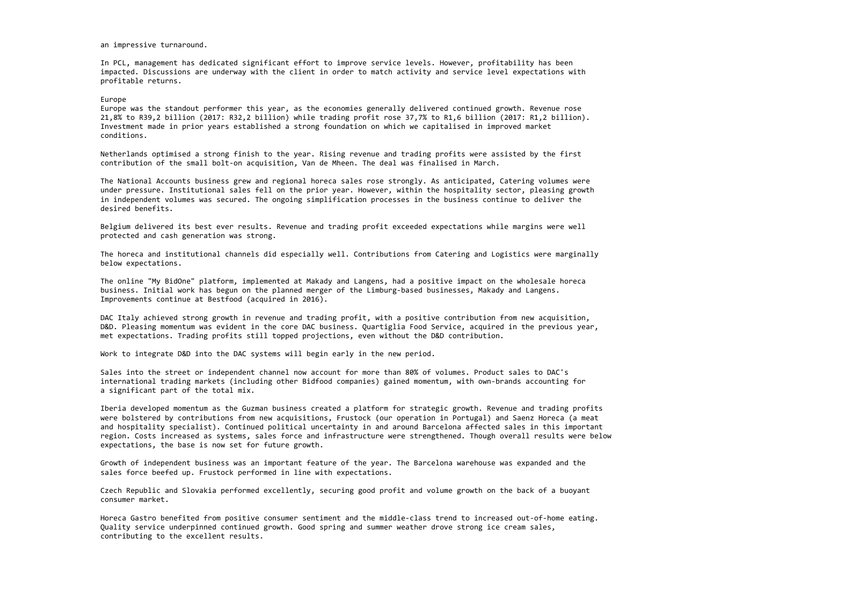an impressive turnaround.

In PCL, management has dedicated significant effort to improve service levels. However, profitability has been impacted. Discussions are underway with the client in order to match activity and service level expectations with profitable returns.

# Europe

Europe was the standout performer this year, as the economies generally delivered continued growth. Revenue rose 21,8% to R39,2 billion (2017: R32,2 billion) while trading profit rose 37,7% to R1,6 billion (2017: R1,2 billion). Investment made in prior years established <sup>a</sup> strong foundation on which we capitalised in improved market conditions.

Netherlands optimised <sup>a</sup> strong finish to the year. Rising revenue and trading profits were assisted by the first contribution of the small bolt‐on acquisition, Van de Mheen. The deal was finalised in March.

The National Accounts business grew and regional horeca sales rose strongly. As anticipated, Catering volumes were under pressure. Institutional sales fell on the prior year. However, within the hospitality sector, pleasing growth in independent volumes was secured. The ongoing simplification processes in the business continue to deliver the desired benefits.

Belgium delivered its best ever results. Revenue and trading profit exceeded expectations while margins were well protected and cash generation was strong.

The horeca and institutional channels did especially well. Contributions from Catering and Logistics were marginally below expectations.

The online "My BidOne" platform, implemented at Makady and Langens, had <sup>a</sup> positive impact on the wholesale horeca business. Initial work has begun on the planned merger of the Limburg‐based businesses, Makady and Langens. Improvements continue at Bestfood (acquired in 2016).

DAC Italy achieved strong growth in revenue and trading profit, with <sup>a</sup> positive contribution from new acquisition, D&D. Pleasing momentum was evident in the core DAC business. Quartiglia Food Service, acquired in the previous year, met expectations. Trading profits still topped projections, even without the D&D contribution.

Work to integrate D&D into the DAC systems will begin early in the new period.

Sales into the street or independent channel now account for more than 80% of volumes. Product sales to DAC's international trading markets (including other Bidfood companies) gained momentum, with own‐brands accounting for a significant part of the total mix.

Iberia developed momentum as the Guzman business created <sup>a</sup> platform for strategic growth. Revenue and trading profits were bolstered by contributions from new acquisitions, Frustock (our operation in Portugal) and Saenz Horeca (a meat and hospitality specialist). Continued political uncertainty in and around Barcelona affected sales in this important region. Costs increased as systems, sales force and infrastructure were strengthened. Though overall results were below expectations, the base is now set for future growth.

Growth of independent business was an important feature of the year. The Barcelona warehouse was expanded and the sales force beefed up. Frustock performed in line with expectations.

Czech Republic and Slovakia performed excellently, securing good profit and volume growth on the back of <sup>a</sup> buoyant consumer market.

Horeca Gastro benefited from positive consumer sentiment and the middle‐class trend to increased out‐of‐home eating. Quality service underpinned continued growth. Good spring and summer weather drove strong ice cream sales, contributing to the excellent results.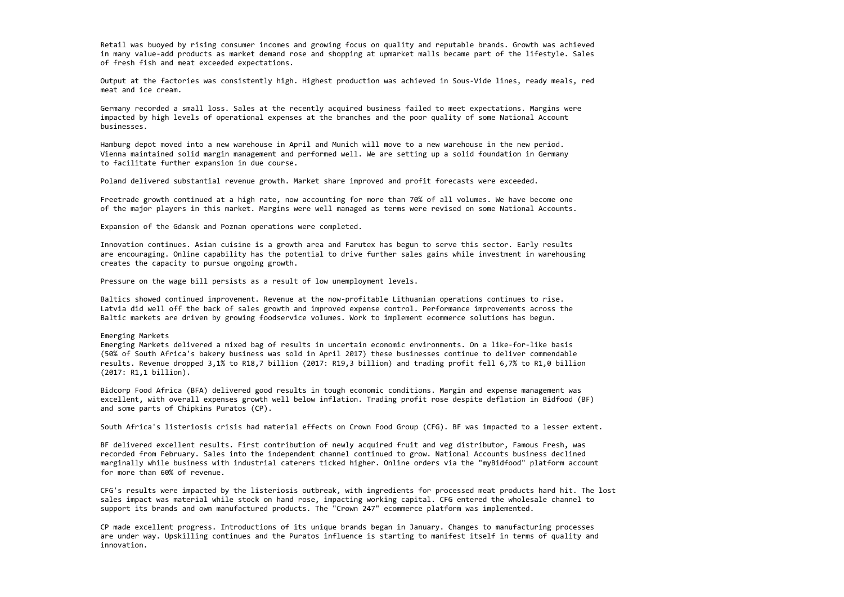Retail was buoyed by rising consumer incomes and growing focus on quality and reputable brands. Growth was achieved in many value‐add products as market demand rose and shopping at upmarket malls became part of the lifestyle. Sales of fresh fish and meat exceeded expectations.

Output at the factories was consistently high. Highest production was achieved in Sous‐Vide lines, ready meals, red meat and ice cream.

Germany recorded <sup>a</sup> small loss. Sales at the recently acquired business failed to meet expectations. Margins were impacted by high levels of operational expenses at the branches and the poor quality of some National Account businesses.

Hamburg depot moved into <sup>a</sup> new warehouse in April and Munich will move to <sup>a</sup> new warehouse in the new period. Vienna maintained solid margin management and performed well. We are setting up <sup>a</sup> solid foundation in Germany to facilitate further expansion in due course.

Poland delivered substantial revenue growth. Market share improved and profit forecasts were exceeded.

Freetrade growth continued at <sup>a</sup> high rate, now accounting for more than 70% of all volumes. We have become one of the major players in this market. Margins were well managed as terms were revised on some National Accounts.

Emerging Markets delivered a mixed bag of results in uncertain economic environments. On a like-for-like basis (50% of South Africa's bakery business was sold in April 2017) these businesses continue to deliver commendable results. Revenue dropped 3,1% to R18,7 billion (2017: R19,3 billion) and trading profit fell 6,7% to R1,0 billion (2017: R1,1 billion).

Expansion of the Gdansk and Poznan operations were completed.

Innovation continues. Asian cuisine is <sup>a</sup> growth area and Farutex has begun to serve this sector. Early results are encouraging. Online capability has the potential to drive further sales gains while investment in warehousing creates the capacity to pursue ongoing growth.

Pressure on the wage bill persists as <sup>a</sup> result of low unemployment levels.

Baltics showed continued improvement. Revenue at the now‐profitable Lithuanian operations continues to rise. Latvia did well off the back of sales growth and improved expense control. Performance improvements across the Baltic markets are driven by growing foodservice volumes. Work to implement ecommerce solutions has begun.

Emerging Markets

Bidcorp Food Africa (BFA) delivered good results in tough economic conditions. Margin and expense management was excellent, with overall expenses growth well below inflation. Trading profit rose despite deflation in Bidfood (BF) and some parts of Chipkins Puratos (CP).

South Africa's listeriosis crisis had material effects on Crown Food Group (CFG). BF was impacted to <sup>a</sup> lesser extent.

BF delivered excellent results. First contribution of newly acquired fruit and veg distributor, Famous Fresh, was recorded from February. Sales into the independent channel continued to grow. National Accounts business declined marginally while business with industrial caterers ticked higher. Online orders via the "myBidfood" platform account for more than 60% of revenue.

CFG's results were impacted by the listeriosis outbreak, with ingredients for processed meat products hard hit. The lost sales impact was material while stock on hand rose, impacting working capital. CFG entered the wholesale channel to support its brands and own manufactured products. The "Crown 247" ecommerce platform was implemented.

CP made excellent progress. Introductions of its unique brands began in January. Changes to manufacturing processes are under way. Upskilling continues and the Puratos influence is starting to manifest itself in terms of quality and innovation.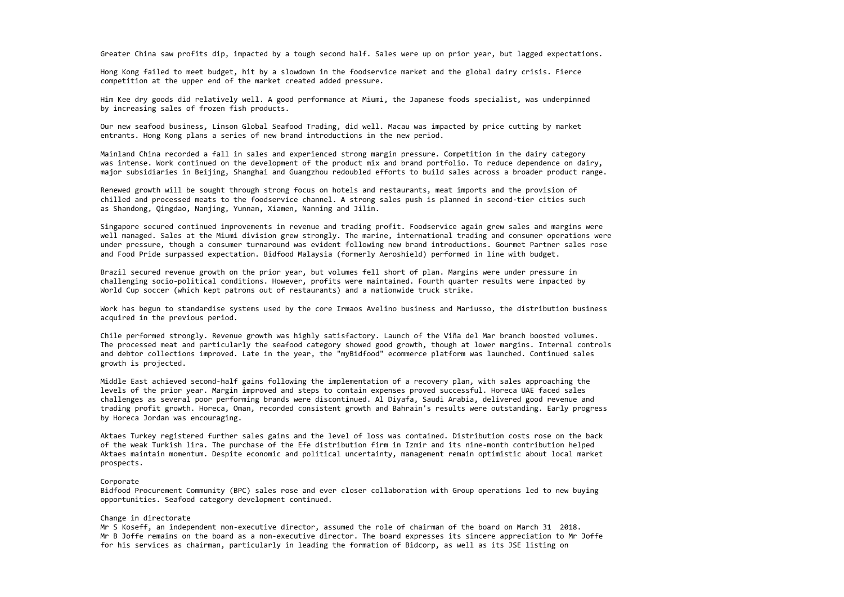Greater China saw profits dip, impacted by <sup>a</sup> tough second half. Sales were up on prior year, but lagged expectations.

Hong Kong failed to meet budget, hit by <sup>a</sup> slowdown in the foodservice market and the global dairy crisis. Fierce competition at the upper end of the market created added pressure.

Him Kee dry goods did relatively well. A good performance at Miumi, the Japanese foods specialist, was underpinned by increasing sales of frozen fish products.

Our new seafood business, Linson Global Seafood Trading, did well. Macau was impacted by price cutting by market entrants. Hong Kong plans <sup>a</sup> series of new brand introductions in the new period.

Mainland China recorded <sup>a</sup> fall in sales and experienced strong margin pressure. Competition in the dairy category was intense. Work continued on the development of the product mix and brand portfolio. To reduce dependence on dairy, major subsidiaries in Beijing, Shanghai and Guangzhou redoubled efforts to build sales across <sup>a</sup> broader product range.

Renewed growth will be sought through strong focus on hotels and restaurants, meat imports and the provision of chilled and processed meats to the foodservice channel. A strong sales push is planned in second‐tier cities such as Shandong, Qingdao, Nanjing, Yunnan, Xiamen, Nanning and Jilin.

Singapore secured continued improvements in revenue and trading profit. Foodservice again grew sales and margins were well managed. Sales at the Miumi division grew strongly. The marine, international trading and consumer operations were under pressure, though <sup>a</sup> consumer turnaround was evident following new brand introductions. Gourmet Partner sales rose and Food Pride surpassed expectation. Bidfood Malaysia (formerly Aeroshield) performed in line with budget.

Brazil secured revenue growth on the prior year, but volumes fell short of plan. Margins were under pressure in challenging socio‐political conditions. However, profits were maintained. Fourth quarter results were impacted by World Cup soccer (which kept patrons out of restaurants) and <sup>a</sup> nationwide truck strike.

Work has begun to standardise systems used by the core Irmaos Avelino business and Mariusso, the distribution business acquired in the previous period.

Chile performed strongly. Revenue growth was highly satisfactory. Launch of the Viña del Mar branch boosted volumes. The processed meat and particularly the seafood category showed good growth, though at lower margins. Internal controls and debtor collections improved. Late in the year, the "myBidfood" ecommerce platform was launched. Continued sales growth is projected.

Middle East achieved second‐half gains following the implementation of <sup>a</sup> recovery plan, with sales approaching the levels of the prior year. Margin improved and steps to contain expenses proved successful. Horeca UAE faced sales challenges as several poor performing brands were discontinued. Al Diyafa, Saudi Arabia, delivered good revenue and trading profit growth. Horeca, Oman, recorded consistent growth and Bahrain's results were outstanding. Early progress by Horeca Jordan was encouraging.

Aktaes Turkey registered further sales gains and the level of loss was contained. Distribution costs rose on the back of the weak Turkish lira. The purchase of the Efe distribution firm in Izmir and its nine‐month contribution helped Aktaes maintain momentum. Despite economic and political uncertainty, management remain optimistic about local market prospects.

## Corporate

Bidfood Procurement Community (BPC) sales rose and ever closer collaboration with Group operations led to new buying opportunities. Seafood category development continued.

## Change in directorate

Mr S Koseff, an independent non‐executive director, assumed the role of chairman of the board on March 31 2018. Mr B Joffe remains on the board as <sup>a</sup> non‐executive director. The board expresses its sincere appreciation to Mr Joffe for his services as chairman, particularly in leading the formation of Bidcorp, as well as its JSE listing on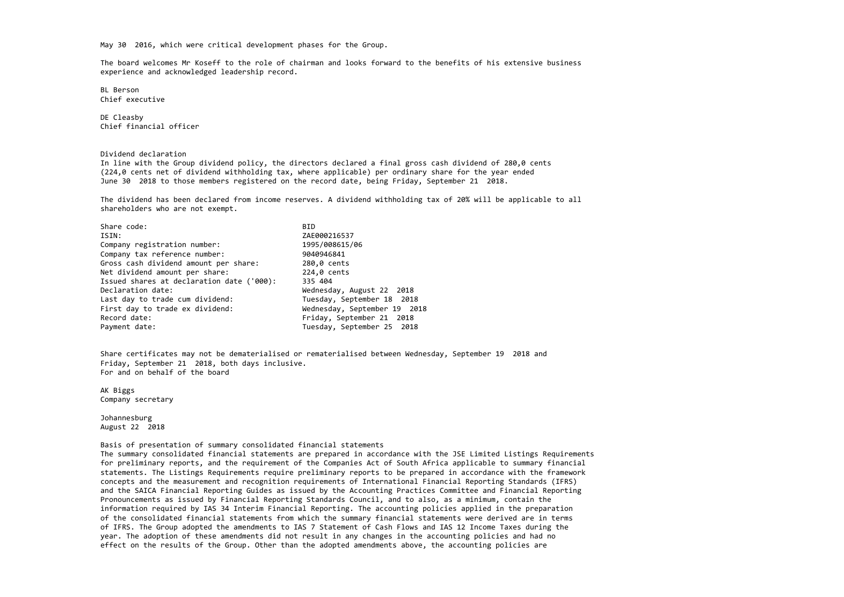May 30 2016, which were critical development phases for the Group.

The board welcomes Mr Koseff to the role of chairman and looks forward to the benefits of his extensive business experience and acknowledged leadership record.

BL Berson Chief executive

DE Cleasby Chief financial officer

#### Dividend declaration

In line with the Group dividend policy, the directors declared <sup>a</sup> final gross cash dividend of 280,0 cents (224,0 cents net of dividend withholding tax, where applicable) per ordinary share for the year ended June 30 2018 to those members registered on the record date, being Friday, September 21 2018.

The dividend has been declared from income reserves. A dividend withholding tax of 20% will be applicable to all shareholders who are not exempt.

| Share code:                               | <b>BID</b>                   |
|-------------------------------------------|------------------------------|
| ISIN:                                     | ZAE000216537                 |
| Company registration number:              | 1995/008615/06               |
| Company tax reference number:             | 9040946841                   |
| Gross cash dividend amount per share:     | 280,0 cents                  |
| Net dividend amount per share:            | 224,0 cents                  |
| Issued shares at declaration date ('000): | 335 404                      |
| Declaration date:                         | Wednesday, August 22 2018    |
| Last day to trade cum dividend:           | Tuesday, September 18 2018   |
| First day to trade ex dividend:           | Wednesday, September 19 2018 |
| Record date:                              | Friday, September 21 2018    |
| Payment date:                             | Tuesday, September 25 2018   |

Share certificates may not be dematerialised or rematerialised between Wednesday, September 19 2018 and Friday, September 21 2018, both days inclusive. For and on behalf of the board

AK Biggs Company secretary

Johannesburg August 22 2018

Basis of presentation of summary consolidated financial statements

The summary consolidated financial statements are prepared in accordance with the JSE Limited Listings Requirements for preliminary reports, and the requirement of the Companies Act of South Africa applicable to summary financial statements. The Listings Requirements require preliminary reports to be prepared in accordance with the framework concepts and the measurement and recognition requirements of International Financial Reporting Standards (IFRS) and the SAICA Financial Reporting Guides as issued by the Accounting Practices Committee and Financial Reporting Pronouncements as issued by Financial Reporting Standards Council, and to also, as <sup>a</sup> minimum, contain the information required by IAS 34 Interim Financial Reporting. The accounting policies applied in the preparation of the consolidated financial statements from which the summary financial statements were derived are in terms of IFRS. The Group adopted the amendments to IAS 7 Statement of Cash Flows and IAS 12 Income Taxes during the year. The adoption of these amendments did not result in any changes in the accounting policies and had no effect on the results of the Group. Other than the adopted amendments above, the accounting policies are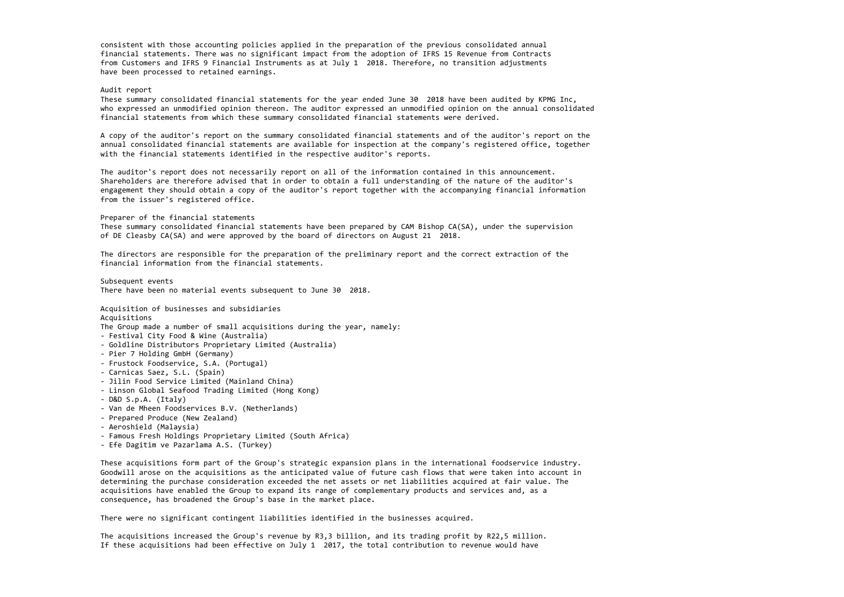consistent with those accounting policies applied in the preparation of the previous consolidated annual financial statements. There was no significant impact from the adoption of IFRS 15 Revenue from Contracts from Customers and IFRS 9 Financial Instruments as at July 1 2018. Therefore, no transition adjustments have been processed to retained earnings.

#### Audit report

These summary consolidated financial statements for the year ended June 30 2018 have been audited by KPMG Inc, who expressed an unmodified opinion thereon. The auditor expressed an unmodified opinion on the annual consolidated financial statements from which these summary consolidated financial statements were derived.

A copy of the auditor's report on the summary consolidated financial statements and of the auditor's report on the annual consolidated financial statements are available for inspection at the company's registered office, together with the financial statements identified in the respective auditor's reports.

The auditor's report does not necessarily report on all of the information contained in this announcement. Shareholders are therefore advised that in order to obtain <sup>a</sup> full understanding of the nature of the auditor's engagement they should obtain <sup>a</sup> copy of the auditor's report together with the accompanying financial information from the issuer's registered office.

#### Preparer of the financial statements

These summary consolidated financial statements have been prepared by CAM Bishop CA(SA), under the supervision of DE Cleasby CA(SA) and were approved by the board of directors on August <sup>21</sup> 2018.

The directors are responsible for the preparation of the preliminary report and the correct extraction of the financial information from the financial statements.

Subsequent events There have been no material events subsequent to June 30 2018.

Acquisition of businesses and subsidiaries Acquisitions

The Group made <sup>a</sup> number of small acquisitions during the year, namely:

- ‐ Festival City Food & Wine (Australia)
- ‐ Goldline Distributors Proprietary Limited (Australia)
- ‐ Pier <sup>7</sup> Holding GmbH (Germany)
- ‐ Frustock Foodservice, S.A. (Portugal)
- ‐ Carnicas Saez, S.L. (Spain)
- ‐ Jilin Food Service Limited (Mainland China)
- ‐ Linson Global Seafood Trading Limited (Hong Kong)
- ‐ D&D S.p.A. (Italy)
- ‐ Van de Mheen Foodservices B.V. (Netherlands)
- ‐ Prepared Produce (New Zealand)
- ‐ Aeroshield (Malaysia)
- ‐ Famous Fresh Holdings Proprietary Limited (South Africa)
- ‐ Efe Dagitim ve Pazarlama A.S. (Turkey)

These acquisitions form part of the Group's strategic expansion plans in the international foodservice industry. Goodwill arose on the acquisitions as the anticipated value of future cash flows that were taken into account in determining the purchase consideration exceeded the net assets or net liabilities acquired at fair value. The acquisitions have enabled the Group to expand its range of complementary products and services and, as <sup>a</sup> consequence, has broadened the Group's base in the market place.

There were no significant contingent liabilities identified in the businesses acquired.

The acquisitions increased the Group's revenue by R3,3 billion, and its trading profit by R22,5 million. If these acquisitions had been effective on July 1 2017, the total contribution to revenue would have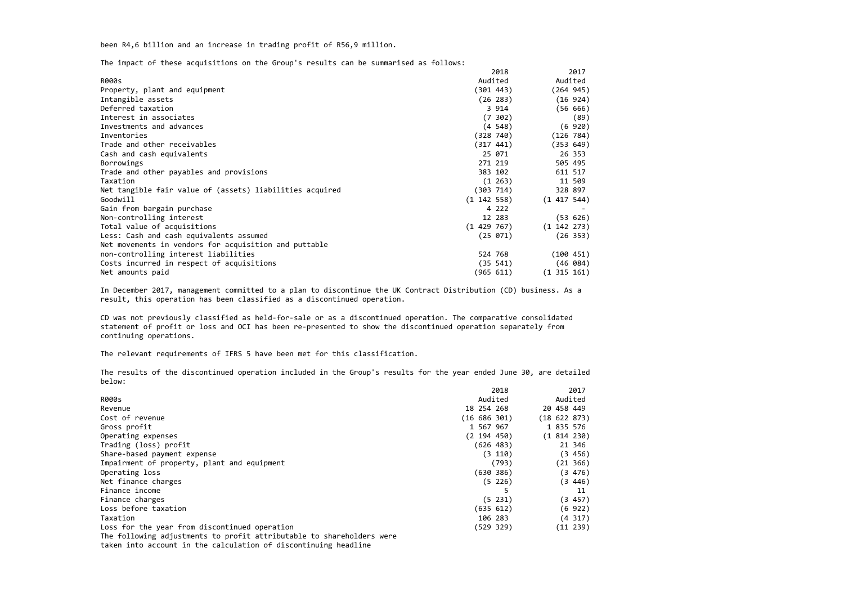been R4,6 billion and an increase in trading profit of R56,9 million.

The impact of these acquisitions on the Group's results can be summarised as follows:

|                                                          |                 | 2018    |                 | 2017     |
|----------------------------------------------------------|-----------------|---------|-----------------|----------|
| <b>R000s</b>                                             | Audited         |         | Audited         |          |
| Property, plant and equipment                            | (301 443)       |         | (264945)        |          |
| Intangible assets                                        | (26 283)        |         |                 | (16924)  |
| Deferred taxation                                        |                 | 3 9 1 4 |                 | (56 666) |
| Interest in associates                                   |                 | (7 302) |                 | (89)     |
| Investments and advances                                 |                 | (4 548) |                 | (6920)   |
| Inventories                                              | (328 740)       |         | (126 784)       |          |
| Trade and other receivables                              | (317 441)       |         | (353 649)       |          |
| Cash and cash equivalents                                | 25 071          |         |                 | 26 353   |
| Borrowings                                               | 271 219         |         | 505 495         |          |
| Trade and other payables and provisions                  | 383 102         |         | 611 517         |          |
| Taxation                                                 |                 | (1 263) |                 | 11 509   |
| Net tangible fair value of (assets) liabilities acquired | (303 714)       |         | 328 897         |          |
| Goodwill                                                 | $(1\;142\;558)$ |         | (1 417 544)     |          |
| Gain from bargain purchase                               |                 | 4 2 2 2 |                 |          |
| Non-controlling interest                                 | 12 283          |         |                 | (53 626) |
| Total value of acquisitions                              | (1429767)       |         | $(1\;142\;273)$ |          |
| Less: Cash and cash equivalents assumed                  | (25 071)        |         |                 | (26 353) |
| Net movements in vendors for acquisition and puttable    |                 |         |                 |          |
| non-controlling interest liabilities                     | 524 768         |         | (100 451)       |          |
| Costs incurred in respect of acquisitions                | (35 541)        |         |                 | (46 084) |
| Net amounts paid                                         | (965 611)       |         | $(1\;315\;161)$ |          |

In December 2017, management committed to <sup>a</sup> plan to discontinue the UK Contract Distribution (CD) business. As <sup>a</sup> result, this operation has been classified as <sup>a</sup> discontinued operation.

CD was not previously classified as held‐for‐sale or as <sup>a</sup> discontinued operation. The comparative consolidated statement of profit or loss and OCI has been re‐presented to show the discontinued operation separately from continuing operations.

The relevant requirements of IFRS 5 have been met for this classification.

The results of the discontinued operation included in the Group's results for the year ended June 30, are detailed below:

|                                                                       |              | 2018    |            | 2017       |
|-----------------------------------------------------------------------|--------------|---------|------------|------------|
| <b>R000s</b>                                                          | Audited      |         | Audited    |            |
| Revenue                                                               | 18 254 268   |         | 20 458 449 |            |
| Cost of revenue                                                       | (16 686 301) |         |            | (18622873) |
| Gross profit                                                          | 1 567 967    |         |            | 1 835 576  |
| Operating expenses                                                    | (2 194 450)  |         |            | (1814230)  |
| Trading (loss) profit                                                 | (626 483)    |         |            | 21 346     |
| Share-based payment expense                                           |              | (3 110) |            | (3, 456)   |
| Impairment of property, plant and equipment                           |              | (793)   |            | (21 366)   |
| Operating loss                                                        | (630 386)    |         |            | (3, 476)   |
| Net finance charges                                                   |              | (5 226) |            | (3, 446)   |
| Finance income                                                        |              |         |            | 11         |
| Finance charges                                                       |              | (5 231) |            | (3 457)    |
| Loss before taxation                                                  | (635 612)    |         |            | (6922)     |
| Taxation                                                              | 106 283      |         |            | (4 317)    |
| Loss for the year from discontinued operation                         | (529 329)    |         |            | (11 239)   |
| The following adjustments to profit attributable to shareholders were |              |         |            |            |
| taken into account in the calculation of discontinuing headline       |              |         |            |            |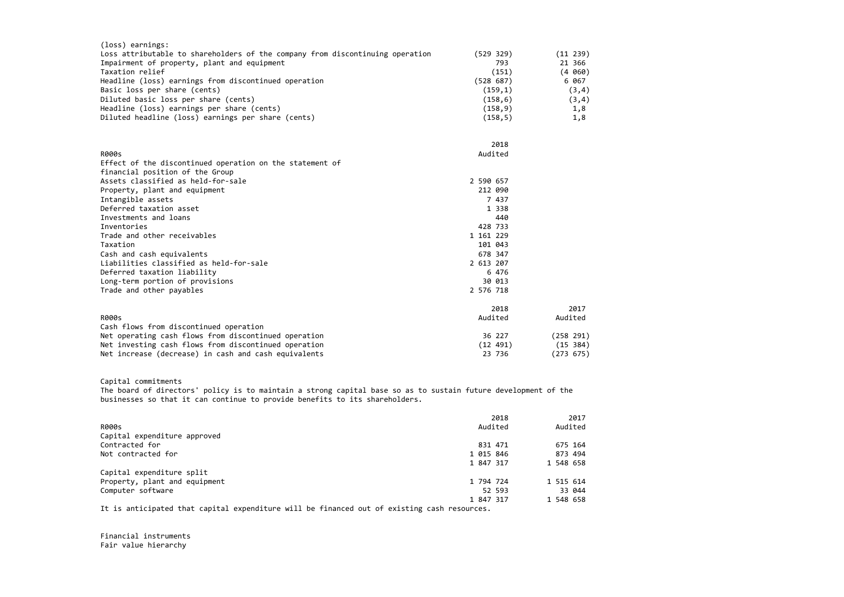| (loss) earnings:                                                              |           |           |
|-------------------------------------------------------------------------------|-----------|-----------|
| Loss attributable to shareholders of the company from discontinuing operation | (529 329) | (11 239)  |
| Impairment of property, plant and equipment                                   | 793       | 21 366    |
| Taxation relief                                                               | (151)     | (4 060)   |
| Headline (loss) earnings from discontinued operation                          | (528 687) | 6 067     |
| Basic loss per share (cents)                                                  | (159,1)   | (3, 4)    |
| Diluted basic loss per share (cents)                                          | (158, 6)  | (3, 4)    |
| Headline (loss) earnings per share (cents)                                    | (158, 9)  | 1,8       |
| Diluted headline (loss) earnings per share (cents)                            | (158, 5)  | 1,8       |
|                                                                               | 2018      |           |
| <b>R000s</b>                                                                  | Audited   |           |
| Effect of the discontinued operation on the statement of                      |           |           |
| financial position of the Group                                               |           |           |
| Assets classified as held-for-sale                                            | 2 590 657 |           |
| Property, plant and equipment                                                 | 212 090   |           |
| Intangible assets                                                             | 7 437     |           |
| Deferred taxation asset                                                       | 1 3 3 8   |           |
| Investments and loans                                                         | 440       |           |
| Inventories                                                                   | 428 733   |           |
| Trade and other receivables                                                   | 1 161 229 |           |
| Taxation                                                                      | 101 043   |           |
| Cash and cash equivalents                                                     | 678 347   |           |
| Liabilities classified as held-for-sale                                       | 2 613 207 |           |
| Deferred taxation liability                                                   | 6 476     |           |
| Long-term portion of provisions                                               | 30 013    |           |
| Trade and other payables                                                      | 2 576 718 |           |
|                                                                               | 2018      | 2017      |
| <b>R000s</b>                                                                  | Audited   | Audited   |
| Cash flows from discontinued operation                                        |           |           |
| Net operating cash flows from discontinued operation                          | 36 227    | (258 291) |
| Net investing cash flows from discontinued operation                          | (12 491)  | (15 384)  |
| Net increase (decrease) in cash and cash equivalents                          | 23 736    | (273 675) |

# Capital commitments

The board of directors' policy is to maintain <sup>a</sup> strong capital base so as to sustain future development of the businesses so that it can continue to provide benefits to its shareholders.

|                               | 2018      | 2017      |
|-------------------------------|-----------|-----------|
| <b>R000s</b>                  | Audited   | Audited   |
| Capital expenditure approved  |           |           |
| Contracted for                | 831 471   | 675 164   |
| Not contracted for            | 1 015 846 | 873 494   |
|                               | 1 847 317 | 1 548 658 |
| Capital expenditure split     |           |           |
| Property, plant and equipment | 1 794 724 | 1 515 614 |
| Computer software             | 52 593    | 33 044    |
|                               | 1 847 317 | 1 548 658 |
|                               |           |           |

It is anticipated that capital expenditure will be financed out of existing cash resources.

Financial instruments Fair value hierarchy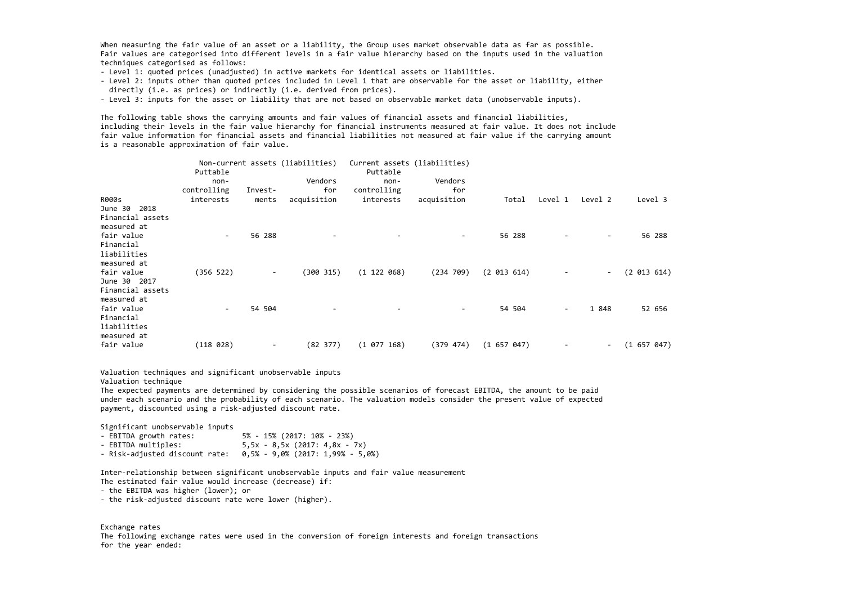When measuring the fair value of an asset or <sup>a</sup> liability, the Group uses market observable data as far as possible. Fair values are categorised into different levels in <sup>a</sup> fair value hierarchy based on the inputs used in the valuation techniques categorised as follows:

- ‐ Level 1: quoted prices (unadjusted) in active markets for identical assets or liabilities.
- ‐ Level 2: inputs other than quoted prices included in Level 1 that are observable for the asset or liability, either directly (i.e. as prices) or indirectly (i.e. derived from prices).
- ‐ Level 3: inputs for the asset or liability that are not based on observable market data (unobservable inputs).

The following table shows the carrying amounts and fair values of financial assets and financial liabilities, including their levels in the fair value hierarchy for financial instruments measured at fair value. It does not include fair value information for financial assets and financial liabilities not measured at fair value if the carrying amount is <sup>a</sup> reasonable approximation of fair value.

- EBITDA growth rates: growth rates: 5% ‐ 15% (2017: 10% ‐ 23%) - EBITDA multiples:  $5,5x - 8,5x (2017: 4,8x - 7x)$
- ‐ Risk‐adjusted discount rate: 0,5% ‐ 9,0% (2017: 1,99% ‐ 5,0%)

| $non-$    |                                                   | Vendors     | non-                                                      | Vendors                                |                                                        |                           |         |                 |
|-----------|---------------------------------------------------|-------------|-----------------------------------------------------------|----------------------------------------|--------------------------------------------------------|---------------------------|---------|-----------------|
|           | Invest-                                           | for         | controlling                                               | for                                    |                                                        |                           |         |                 |
| interests | ments                                             | acquisition | interests                                                 | acquisition                            | Total                                                  | Level 1                   | Level 2 | Level 3         |
|           |                                                   |             |                                                           |                                        |                                                        |                           |         |                 |
|           |                                                   |             |                                                           |                                        |                                                        |                           |         |                 |
|           |                                                   |             |                                                           |                                        |                                                        |                           |         |                 |
| $\sim$    | 56 288                                            |             |                                                           | Ξ.                                     | 56 288                                                 |                           |         | 56 288          |
|           |                                                   |             |                                                           |                                        |                                                        |                           |         |                 |
|           |                                                   |             |                                                           |                                        |                                                        |                           |         |                 |
|           |                                                   |             |                                                           |                                        |                                                        |                           |         |                 |
|           | $\sim$                                            |             |                                                           |                                        | (2 013 614)                                            |                           |         | (2 013 614)     |
|           |                                                   |             |                                                           |                                        |                                                        |                           |         |                 |
|           |                                                   |             |                                                           |                                        |                                                        |                           |         |                 |
|           |                                                   |             |                                                           |                                        |                                                        |                           |         |                 |
| $\sim$    |                                                   |             |                                                           |                                        |                                                        | -                         |         | 52 656          |
|           |                                                   |             |                                                           |                                        |                                                        |                           |         |                 |
|           |                                                   |             |                                                           |                                        |                                                        |                           |         |                 |
|           |                                                   |             |                                                           |                                        |                                                        |                           |         |                 |
|           | ۰.                                                |             |                                                           |                                        |                                                        |                           | $ \,$   | (1657647)       |
|           | Puttable<br>controlling<br>(356 522)<br>(118 028) | 54 504      | Non-current assets (liabilities)<br>(300 315)<br>(82 377) | Puttable<br>(1 122 068)<br>(1 077 168) | Current assets (liabilities)<br>(234 709)<br>(379 474) | 54 504<br>$(1\ 657\ 047)$ |         | $\sim$<br>1 848 |

Valuation techniques and significant unobservable inputs

Valuation technique

The expected payments are determined by considering the possible scenarios of forecast EBITDA, the amount to be paid under each scenario and the probability of each scenario. The valuation models consider the present value of expected payment, discounted using <sup>a</sup> risk‐adjusted discount rate.

Significant unobservable inputs

Inter‐relationship between significant unobservable inputs and fair value measurement The estimated fair value would increase (decrease) if:

- ‐ the EBITDA was higher (lower); or
- ‐ the risk‐adjusted discount rate were lower (higher).

Exchange rates

The following exchange rates were used in the conversion of foreign interests and foreign transactions for the year ended: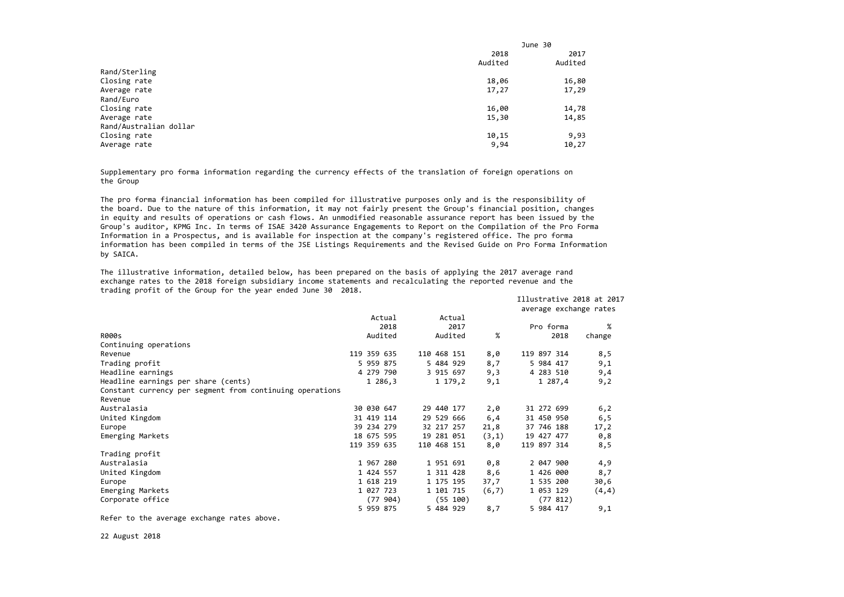|                        | June 30 |
|------------------------|---------|
| 2018                   | 2017    |
| Audited                | Audited |
| Rand/Sterling          |         |
| Closing rate<br>18,06  | 16,80   |
| 17,27<br>Average rate  | 17,29   |
| Rand/Euro              |         |
| Closing rate<br>16,00  | 14,78   |
| 15,30<br>Average rate  | 14,85   |
| Rand/Australian dollar |         |
| Closing rate<br>10,15  | 9,93    |
| 9,94<br>Average rate   | 10,27   |

Supplementary pro forma information regarding the currency effects of the translation of foreign operations on the Group

The pro forma financial information has been compiled for illustrative purposes only and is the responsibility of the board. Due to the nature of this information, it may not fairly present the Group's financial position, changes in equity and results of operations or cash flows. An unmodified reasonable assurance report has been issued by the Group's auditor, KPMG Inc. In terms of ISAE 3420 Assurance Engagements to Report on the Compilation of the Pro Forma Information in <sup>a</sup> Prospectus, and is available for inspection at the company's registered office. The pro forma information has been compiled in terms of the JSE Listings Requirements and the Revised Guide on Pro Forma Information by SAICA.

The illustrative information, detailed below, has been prepared on the basis of applying the 2017 average rand exchange rates to the 2018 foreign subsidiary income statements and recalculating the reported revenue and the trading profit of the Group for the year ended June 30 2018.

|                                                          |  |             |           |  |  |             |       | Illustrative 2018 at 2017 |  |           |                        |  |
|----------------------------------------------------------|--|-------------|-----------|--|--|-------------|-------|---------------------------|--|-----------|------------------------|--|
|                                                          |  |             |           |  |  |             |       |                           |  |           | average exchange rates |  |
|                                                          |  |             | Actual    |  |  | Actual      |       |                           |  |           |                        |  |
|                                                          |  |             | 2018      |  |  | 2017        |       |                           |  | Pro forma | %                      |  |
| <b>R000s</b>                                             |  |             | Audited   |  |  | Audited     | $\%$  |                           |  | 2018      | change                 |  |
| Continuing operations                                    |  |             |           |  |  |             |       |                           |  |           |                        |  |
| Revenue                                                  |  | 119 359 635 |           |  |  | 110 468 151 | 8,0   | 119 897 314               |  |           | 8,5                    |  |
| Trading profit                                           |  | 5 959 875   |           |  |  | 5 484 929   | 8,7   |                           |  | 5 984 417 | 9,1                    |  |
| Headline earnings                                        |  |             | 4 279 790 |  |  | 3 915 697   | 9,3   |                           |  | 4 283 510 | 9,4                    |  |
| Headline earnings per share (cents)                      |  |             | 1286,3    |  |  | 1 179,2     | 9,1   |                           |  | 1 287,4   | 9,2                    |  |
| Constant currency per segment from continuing operations |  |             |           |  |  |             |       |                           |  |           |                        |  |
| Revenue                                                  |  |             |           |  |  |             |       |                           |  |           |                        |  |
| Australasia                                              |  | 30 030 647  |           |  |  | 29 440 177  | 2,0   | 31 272 699                |  |           | 6, 2                   |  |
| United Kingdom                                           |  | 31 419 114  |           |  |  | 29 529 666  | 6,4   | 31 450 950                |  |           | 6, 5                   |  |
| Europe                                                   |  | 39 234 279  |           |  |  | 32 217 257  | 21,8  | 37 746 188                |  |           | 17, 2                  |  |
| Emerging Markets                                         |  | 18 675 595  |           |  |  | 19 281 051  | (3,1) | 19 427 477                |  |           | 0,8                    |  |
|                                                          |  | 119 359 635 |           |  |  | 110 468 151 | 8,0   | 119 897 314               |  |           | 8,5                    |  |
| Trading profit                                           |  |             |           |  |  |             |       |                           |  |           |                        |  |
| Australasia                                              |  | 1 967 280   |           |  |  | 1 951 691   | 0,8   |                           |  | 2 047 900 | 4,9                    |  |
| United Kingdom                                           |  | 1 424 557   |           |  |  | 1 311 428   | 8,6   |                           |  | 1 426 000 | 8,7                    |  |
| Europe                                                   |  | 1 618 219   |           |  |  | 1 175 195   | 37,7  |                           |  | 1 535 200 | 30,6                   |  |
| Emerging Markets                                         |  | 1 027 723   |           |  |  | 1 101 715   | (6,7) |                           |  | 1 053 129 | (4, 4)                 |  |
| Corporate office                                         |  |             | (77904)   |  |  | (55 100)    |       |                           |  | (77812)   |                        |  |
|                                                          |  | 5 959 875   |           |  |  | 5 484 929   | 8,7   |                           |  | 5 984 417 | 9,1                    |  |
|                                                          |  |             |           |  |  |             |       |                           |  |           |                        |  |

Refer to the average exchange rates above.

22 August 2018